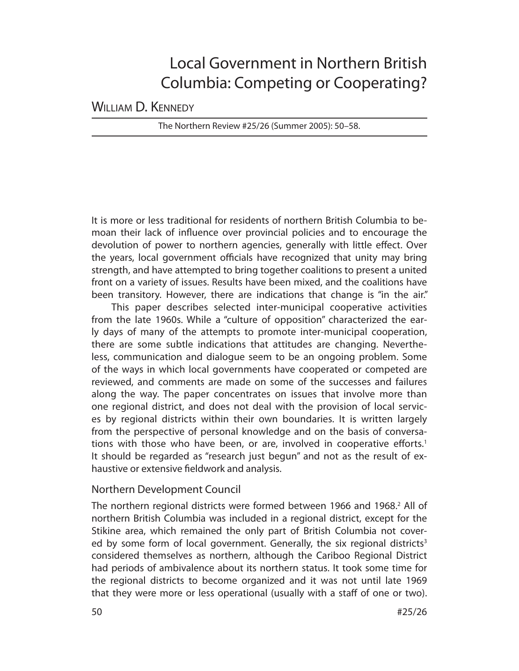# Local Government in Northern British Columbia: Competing or Cooperating?

WILLIAM D. KENNEDY

The Northern Review #25/26 (Summer 2005): 50–58.

It is more or less traditional for residents of northern British Columbia to bemoan their lack of influence over provincial policies and to encourage the devolution of power to northern agencies, generally with little effect. Over the years, local government officials have recognized that unity may bring strength, and have attempted to bring together coalitions to present a united front on a variety of issues. Results have been mixed, and the coalitions have been transitory. However, there are indications that change is "in the air."

This paper describes selected inter-municipal cooperative activities from the late 1960s. While a "culture of opposition" characterized the early days of many of the attempts to promote inter-municipal cooperation, there are some subtle indications that attitudes are changing. Nevertheless, communication and dialogue seem to be an ongoing problem. Some of the ways in which local governments have cooperated or competed are reviewed, and comments are made on some of the successes and failures along the way. The paper concentrates on issues that involve more than one regional district, and does not deal with the provision of local services by regional districts within their own boundaries. It is written largely from the perspective of personal knowledge and on the basis of conversations with those who have been, or are, involved in cooperative efforts.<sup>1</sup> It should be regarded as "research just begun" and not as the result of exhaustive or extensive fieldwork and analysis.

# Northern Development Council

The northern regional districts were formed between 1966 and 1968.<sup>2</sup> All of northern British Columbia was included in a regional district, except for the Stikine area, which remained the only part of British Columbia not covered by some form of local government. Generally, the six regional districts<sup>3</sup> considered themselves as northern, although the Cariboo Regional District had periods of ambivalence about its northern status. It took some time for the regional districts to become organized and it was not until late 1969 that they were more or less operational (usually with a staff of one or two).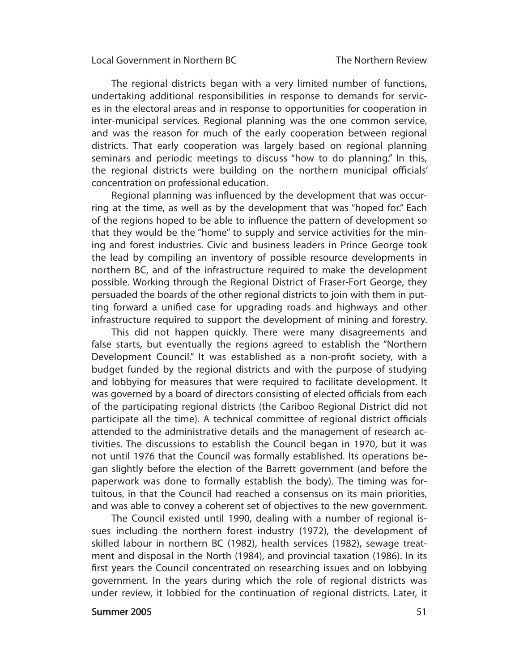The regional districts began with a very limited number of functions, un dertaking additional responsibilities in response to demands for services in the electoral areas and in response to opportunities for cooperation in inter-municipal services. Regional planning was the one common service, and was the reason for much of the early cooperation between regional districts. That early cooperation was largely based on regional planning seminars and periodic meetings to discuss "how to do planning." In this, the regional districts were building on the northern municipal officials' concentration on profes sional education.

Regional planning was influenced by the development that was occurring at the time, as well as by the development that was "hoped for." Each of the regions hoped to be able to influence the pattern of development so that they would be the "home" to supply and service activities for the mining and forest industries. Civic and business leaders in Prince George took the lead by compiling an inventory of possible resource developments in northern BC, and of the infrastructure required to make the development possible. Working through the Regional District of Fraser-Fort George, they persuaded the boards of the other regional districts to join with them in putting forward a unified case for upgrading roads and highways and other infrastructure required to support the development of mining and forestry.

This did not happen quickly. There were many disagreements and false starts, but eventually the regions agreed to establish the "Northern Development Council." It was established as a non-profit society, with a budget funded by the regional districts and with the purpose of studying and lobbying for measures that were required to facilitate development. It was governed by a board of directors consisting of elected officials from each of the participating regional districts (the Cariboo Regional District did not participate all the time). A technical committee of regional district officials attended to the administrative details and the management of research activities. The discussions to establish the Council began in 1970, but it was not until 1976 that the Council was formally established. Its operations began slightly before the election of the Barrett government (and before the paperwork was done to formally establish the body). The timing was fortuitous, in that the Council had reached a consensus on its main priorities, and was able to convey a coherent set of objectives to the new government.

The Council existed until 1990, dealing with a number of regional issues including the northern forest industry (1972), the development of skilled labour in northern BC (1982), health services (1982), sewage treatment and disposal in the North (1984), and provincial taxation (1986). In its first years the Council concentrated on researching issues and on lobbying government. In the years during which the role of regional districts was under review, it lobbied for the continuation of regional districts. Later, it

#### **Summer 2005** 51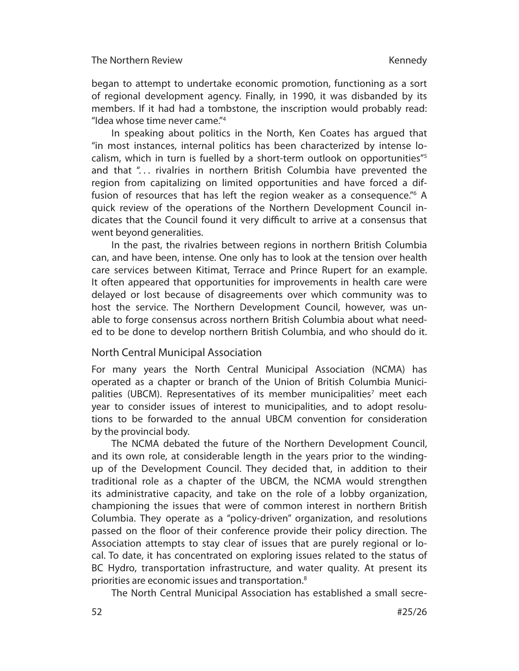began to attempt to undertake economic promotion, functioning as a sort of regional development agency. Finally, in 1990, it was disbanded by its members. If it had had a tombstone, the inscription would probably read: "Idea whose time never came."4

In speaking about politics in the North, Ken Coates has argued that "in most instances, internal politics has been characterized by intense localism, which in turn is fuelled by a short-term outlook on opportunities"5 and that "... rivalries in northern British Columbia have prevented the region from capitalizing on limited opportunities and have forced a diffusion of resources that has left the region weaker as a consequence."<sup>6</sup> A quick review of the operations of the Northern Development Council indicates that the Council found it very difficult to arrive at a consensus that went beyond generalities.

In the past, the rivalries between regions in northern British Columbia can, and have been, intense. One only has to look at the tension over health care services between Kitimat, Terrace and Prince Rupert for an example. It often appeared that opportunities for improvements in health care were de layed or lost because of disagreements over which community was to host the service. The Northern Development Council, however, was unable to forge consensus across northern British Columbia about what needed to be done to develop northern British Columbia, and who should do it.

## North Central Municipal Association

For many years the North Central Municipal Association (NCMA) has operated as a chapter or branch of the Union of British Columbia Municipalities (UBCM). Representatives of its member municipalities<sup>7</sup> meet each year to consider issues of interest to municipalities, and to adopt resolutions to be forwarded to the annual UBCM convention for consideration by the provincial body.

The NCMA debated the future of the Northern Development Council, and its own role, at considerable length in the years prior to the windingup of the Development Council. They decided that, in addition to their traditional role as a chapter of the UBCM, the NCMA would strengthen its admin istrative capacity, and take on the role of a lobby organization, championing the issues that were of common interest in northern British Columbia. They operate as a "policy-driven" organization, and resolutions passed on the floor of their conference provide their policy direction. The Association attempts to stay clear of issues that are purely regional or local. To date, it has concentrated on exploring issues related to the status of BC Hydro, transportation infrastructure, and water quality. At present its priorities are economic issues and transportation.8

The North Central Municipal Association has established a small secre-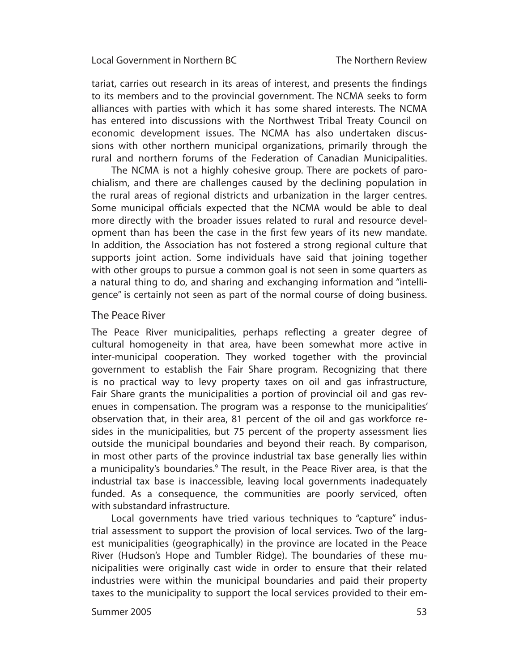tariat, carries out research in its areas of interest, and presents the findings to its members and to the provincial government. The NCMA seeks to form alliances with parties with which it has some shared interests. The NCMA has entered into discussions with the Northwest Tribal Treaty Council on economic development issues. The NCMA has also undertaken discussions with other northern municipal organizations, primarily through the rural and northern forums of the Federation of Canadian Municipalities.

The NCMA is not a highly cohesive group. There are pockets of parochialism, and there are challenges caused by the declining population in the rural areas of regional districts and urbanization in the larger centres. Some municipal officials expected that the NCMA would be able to deal more directly with the broader issues related to rural and resource development than has been the case in the first few years of its new mandate. In addition, the Association has not fostered a strong regional culture that supports joint action. Some individuals have said that joining together with other groups to pursue a common goal is not seen in some quarters as a natural thing to do, and sharing and exchanging information and "intelligence" is certainly not seen as part of the normal course of doing business.

#### The Peace River

The Peace River municipalities, perhaps reflecting a greater degree of cultural homogeneity in that area, have been somewhat more active in inter-municipal cooperation. They worked together with the provincial government to establish the Fair Share program. Recognizing that there is no practical way to levy property taxes on oil and gas infrastructure, Fair Share grants the municipalities a portion of provincial oil and gas revenues in compensation. The program was a response to the municipalities' observation that, in their area, 81 percent of the oil and gas workforce resides in the municipalities, but 75 percent of the property assessment lies outside the municipal boundaries and beyond their reach. By comparison, in most other parts of the province industrial tax base generally lies within a municipality's boundaries.<sup>9</sup> The result, in the Peace River area, is that the industrial tax base is inaccessible, leaving local governments inadequately funded. As a consequence, the communities are poorly serviced, often with substandard infrastructure.

Local governments have tried various techniques to "capture" industrial assessment to support the provision of local services. Two of the largest municipalities (geographically) in the province are located in the Peace River (Hudson's Hope and Tumbler Ridge). The boundaries of these municipalities were originally cast wide in order to ensure that their related industries were within the municipal boundaries and paid their property taxes to the municipality to support the local services provided to their em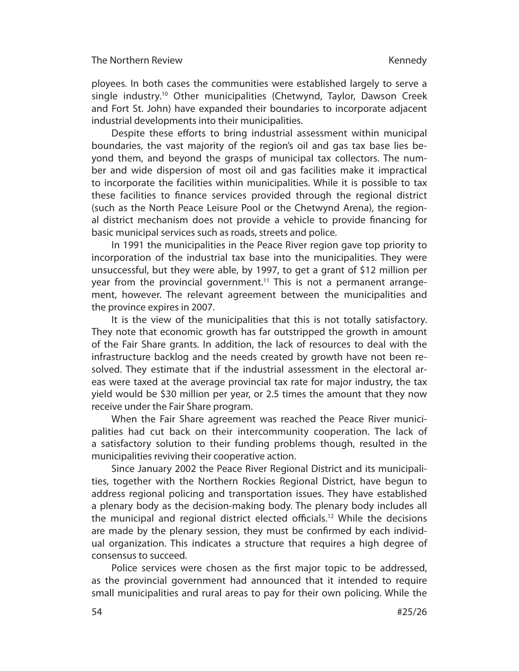ployees. In both cases the communities were established largely to serve a single industry.<sup>10</sup> Other municipalities (Chetwynd, Taylor, Dawson Creek and Fort St. John) have expanded their boundaries to incorporate adjacent industrial developments into their municipalities.

Despite these efforts to bring industrial assessment within municipal boundaries, the vast majority of the region's oil and gas tax base lies beyond them, and beyond the grasps of municipal tax collectors. The number and wide dispersion of most oil and gas facilities make it impractical to incorporate the facilities within municipalities. While it is possible to tax these facilities to finance services provided through the regional district (such as the North Peace Leisure Pool or the Chetwynd Arena), the regional district mechanism does not provide a vehicle to provide financing for basic municipal services such as roads, streets and police.

In 1991 the municipalities in the Peace River region gave top priority to incorporation of the industrial tax base into the municipalities. They were unsuccessful, but they were able, by 1997, to get a grant of \$12 million per year from the provincial government.<sup>11</sup> This is not a permanent arrangement, however. The relevant agreement between the municipalities and the province expires in 2007.

It is the view of the municipalities that this is not totally satisfactory. They note that economic growth has far outstripped the growth in amount of the Fair Share grants. In addition, the lack of resources to deal with the infra structure backlog and the needs created by growth have not been resolved. They estimate that if the industrial assessment in the electoral areas were taxed at the average provincial tax rate for major industry, the tax yield would be \$30 million per year, or 2.5 times the amount that they now receive under the Fair Share program.

When the Fair Share agreement was reached the Peace River municipalities had cut back on their intercommunity cooperation. The lack of a satisfactory solution to their funding problems though, resulted in the municipalities reviving their cooperative action.

Since January 2002 the Peace River Regional District and its municipalities, together with the Northern Rockies Regional District, have begun to address regional policing and transportation issues. They have established a plenary body as the decision-making body. The plenary body includes all the municipal and regional district elected officials.<sup>12</sup> While the decisions are made by the plenary session, they must be confirmed by each individual organization. This indicates a structure that requires a high degree of con sensus to succeed.

Police services were chosen as the first major topic to be addressed, as the provincial government had announced that it intended to require small municipalities and rural areas to pay for their own policing. While the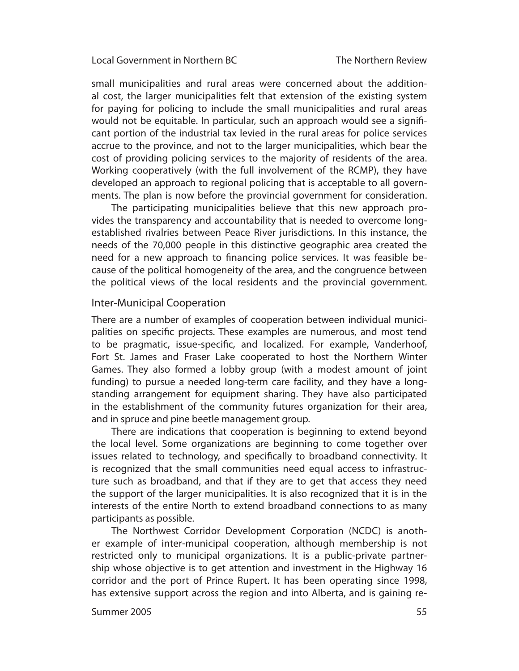small municipalities and rural areas were concerned about the additional cost, the larger municipalities felt that extension of the existing system for paying for policing to include the small municipalities and rural areas would not be equitable. In particular, such an approach would see a significant portion of the industrial tax levied in the rural areas for police services accrue to the province, and not to the larger municipalities, which bear the cost of providing policing services to the majority of residents of the area. Working cooperatively (with the full involvement of the RCMP), they have developed an approach to regional policing that is acceptable to all governments. The plan is now before the provincial government for consideration.

The participating municipalities believe that this new approach provides the transparency and accountability that is needed to overcome longestablished rivalries between Peace River jurisdictions. In this instance, the needs of the 70,000 people in this distinctive geographic area created the need for a new approach to financing police services. It was feasible because of the political homogeneity of the area, and the congruence between the political views of the local residents and the provincial government.

### Inter-Municipal Cooperation

There are a number of examples of cooperation between individual municipalities on specific projects. These examples are numerous, and most tend to be pragmatic, issue-specific, and localized. For example, Vanderhoof, Fort St. James and Fraser Lake cooperated to host the Northern Winter Games. They also formed a lobby group (with a modest amount of joint funding) to pursue a needed long-term care facility, and they have a longstanding arrangement for equipment sharing. They have also participated in the establishment of the community futures organization for their area, and in spruce and pine beetle management group.

There are indications that cooperation is beginning to extend beyond the local level. Some organizations are beginning to come together over issues related to technology, and specifically to broadband connectivity. It is recognized that the small communities need equal access to infrastructure such as broadband, and that if they are to get that access they need the support of the larger municipalities. It is also recognized that it is in the interests of the entire North to extend broadband connections to as many participants as possible.

The Northwest Corridor Development Corporation (NCDC) is another example of inter-municipal cooperation, although membership is not restricted only to municipal organizations. It is a public-private partnership whose objective is to get attention and investment in the Highway 16 corridor and the port of Prince Rupert. It has been operating since 1998, has extensive support across the region and into Alberta, and is gaining re-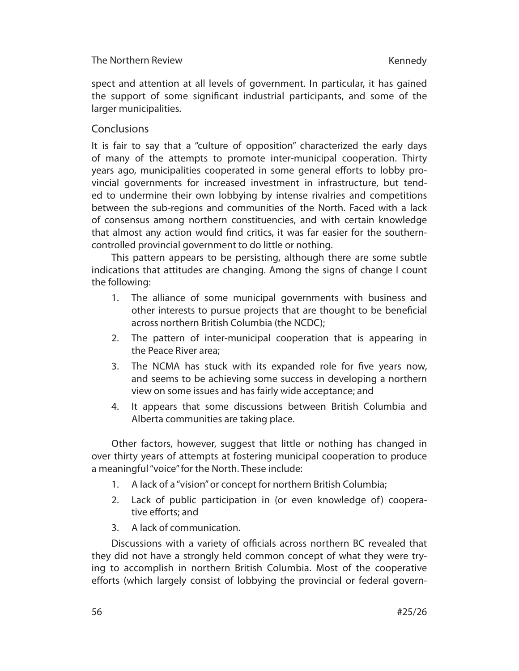## The Northern Review

spect and attention at all levels of government. In particular, it has gained the support of some significant industrial participants, and some of the larger municipalities.

## **Conclusions**

It is fair to say that a "culture of opposition" characterized the early days of many of the attempts to promote inter-municipal cooperation. Thirty years ago, municipalities cooperated in some general efforts to lobby provincial governments for increased investment in infrastructure, but tended to undermine their own lobbying by intense rivalries and competitions between the sub-regions and communities of the North. Faced with a lack of consensus among northern constituencies, and with certain knowledge that almost any action would find critics, it was far easier for the southerncontrolled provincial govern ment to do little or nothing.

This pattern appears to be persisting, although there are some subtle indications that attitudes are changing. Among the signs of change I count the following:

- 1. The alliance of some municipal governments with business and other interests to pursue projects that are thought to be beneficial across northern British Columbia (the NCDC);
- 2. The pattern of inter-municipal cooperation that is appearing in the Peace River area;
- 3. The NCMA has stuck with its expanded role for five years now, and seems to be achieving some success in developing a northern view on some issues and has fairly wide acceptance; and
- 4. It appears that some discussions between British Columbia and Alberta communities are taking place.

Other factors, however, suggest that little or nothing has changed in over thirty years of attempts at fostering municipal cooperation to produce a meaningful "voice" for the North. These include:

- 1. A lack of a "vision" or concept for northern British Columbia;
- 2. Lack of public participation in (or even knowledge of) cooperative efforts; and
- 3. A lack of communication.

Discussions with a variety of officials across northern BC revealed that they did not have a strongly held common concept of what they were trying to accomplish in northern British Columbia. Most of the cooperative efforts (which largely consist of lobbying the provincial or federal govern-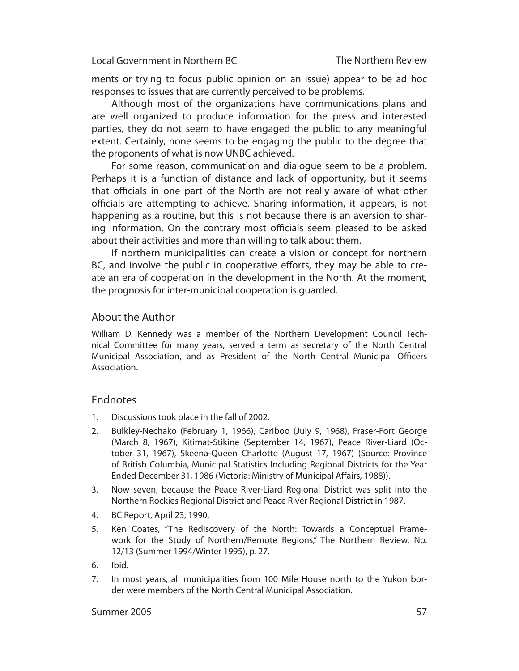ments or trying to focus public opinion on an issue) appear to be ad hoc responses to issues that are currently perceived to be problems.

Although most of the organizations have communications plans and are well organized to produce information for the press and interested parties, they do not seem to have engaged the public to any meaningful extent. Certainly, none seems to be engaging the public to the degree that the proponents of what is now UNBC achieved.

For some reason, communication and dialogue seem to be a problem. Perhaps it is a function of distance and lack of opportunity, but it seems that officials in one part of the North are not really aware of what other officials are attempting to achieve. Sharing information, it appears, is not happening as a routine, but this is not because there is an aversion to sharing information. On the contrary most officials seem pleased to be asked about their activities and more than willing to talk about them.

If northern municipalities can create a vision or concept for northern BC, and involve the public in cooperative efforts, they may be able to create an era of cooperation in the development in the North. At the moment, the prognosis for inter-municipal cooperation is guarded.

### About the Author

William D. Kennedy was a member of the Northern Development Council Technical Committee for many years, served a term as secretary of the North Central Municipal Association, and as President of the North Central Municipal Officers Association.

### Endnotes

- 1. Discussions took place in the fall of 2002.
- 2. Bulkley-Nechako (February 1, 1966), Cariboo (July 9, 1968), Fraser-Fort George (March 8, 1967), Kitimat-Stikine (September 14, 1967), Peace River-Liard (October 31, 1967), Skeena-Queen Charlotte (August 17, 1967) (Source: Province of British Columbia, Municipal Statistics Including Regional Districts for the Year Ended December 31, 1986 (Victoria: Ministry of Municipal Affairs, 1988)).
- 3. Now seven, because the Peace River-Liard Regional District was split into the Northern Rockies Regional District and Peace River Regional District in 1987.
- 4. BC Report, April 23, 1990.
- 5. Ken Coates, "The Rediscovery of the North: Towards a Conceptual Framework for the Study of Northern/Remote Regions," The Northern Review, No. 12/13 (Summer 1994/Winter 1995), p. 27.
- 6. Ibid.
- 7. In most years, all municipalities from 100 Mile House north to the Yukon border were members of the North Central Municipal Association.

#### Summer 2005